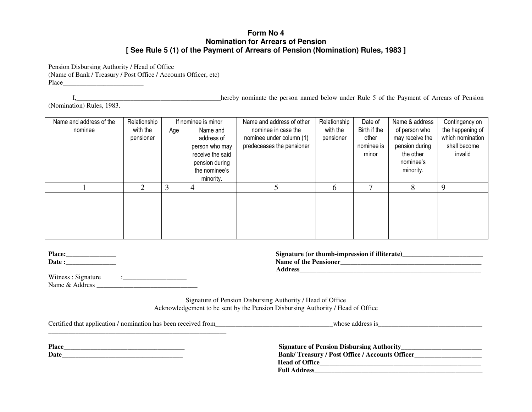## **Form No 4 Nomination for Arrears of Pension [ See Rule 5 (1) of the Payment of Arrears of Pension (Nomination) Rules, 1983 ]**

Pension Disbursing Authority / Head of Office (Name of Bank / Treasury / Post Office / Accounts Officer, etc) Place \_\_\_\_\_\_\_\_\_\_\_\_\_\_\_\_\_\_\_\_\_\_\_\_

I,\_\_\_\_\_\_\_\_\_\_\_\_\_\_\_\_\_\_\_\_\_\_\_\_\_\_\_\_\_\_\_\_\_\_\_\_\_\_\_\_\_\_\_hereby nominate the person named below under Rule 5 of the Payment of Arrears of Pension

(Nomination) Rules, 1983.

| Name and address of the | Relationship |     | If nominee is minor | Name and address of other | Relationship | Date of      | Name & address  | Contingency on   |
|-------------------------|--------------|-----|---------------------|---------------------------|--------------|--------------|-----------------|------------------|
| nominee                 | with the     | Age | Name and            | nominee in case the       | with the     | Birth if the | of person who   | the happening of |
|                         | pensioner    |     | address of          | nominee under column (1)  | pensioner    | other        | may receive the | which nomination |
|                         |              |     | person who may      | predeceases the pensioner |              | nominee is   | pension during  | shall become     |
|                         |              |     | receive the said    |                           |              | minor        | the other       | invalid          |
|                         |              |     | pension during      |                           |              |              | nominee's       |                  |
|                         |              |     | the nominee's       |                           |              |              | minority.       |                  |
|                         |              |     | minority.           |                           |              |              |                 |                  |
|                         | 2            | 3   | 4                   |                           | 6            | Ξ,           | 8               | 9                |
|                         |              |     |                     |                           |              |              |                 |                  |
|                         |              |     |                     |                           |              |              |                 |                  |
|                         |              |     |                     |                           |              |              |                 |                  |
|                         |              |     |                     |                           |              |              |                 |                  |
|                         |              |     |                     |                           |              |              |                 |                  |
|                         |              |     |                     |                           |              |              |                 |                  |

| <b>Place:</b> |  |
|---------------|--|
| Date :        |  |

**Signature (or thumb-impression if illiterate)\_\_\_\_\_\_\_\_\_\_\_\_\_\_\_\_\_\_\_\_\_\_\_\_**

| <b>Name of the Pensioner</b> |
|------------------------------|

Witness: Signature :  $\frac{1}{2}$  ,  $\frac{1}{2}$  ,  $\frac{1}{2}$  ,  $\frac{1}{2}$  ,  $\frac{1}{2}$  ,  $\frac{1}{2}$  ,  $\frac{1}{2}$  ,  $\frac{1}{2}$  ,  $\frac{1}{2}$  ,  $\frac{1}{2}$  ,  $\frac{1}{2}$  ,  $\frac{1}{2}$  ,  $\frac{1}{2}$  ,  $\frac{1}{2}$  ,  $\frac{1}{2}$  ,  $\frac{1}{2}$  ,  $\frac{1}{2}$  ,  $\frac{1}{2}$  ,  $\frac$ Name & Address **\_\_\_\_\_\_\_\_\_\_\_\_\_\_\_\_\_\_\_\_\_\_\_\_\_\_\_\_\_\_**

> Signature of Pension Disbursing Authority / Head of Office Acknowledgement to be sent by the Pension Disbursing Authority / Head of Office

Certified that application / nomination has been received from\_\_\_\_\_\_\_\_\_\_\_\_\_\_\_\_\_\_\_\_\_\_\_\_\_\_\_\_\_\_\_\_\_\_\_whose address is\_\_\_\_\_\_\_\_\_\_\_\_\_\_\_\_\_\_\_\_\_\_\_\_\_\_\_\_\_\_\_

**Place \_\_\_\_\_\_\_\_\_\_\_\_\_\_\_\_\_\_\_\_\_\_\_\_\_\_\_\_\_\_\_\_\_\_\_\_ Date \_\_\_\_\_\_\_\_\_\_\_\_\_\_\_\_\_\_\_\_\_\_\_\_\_\_\_\_\_\_\_\_\_\_\_\_**

| <b>Signature of Pension Disbursing Authority_</b>      |  |
|--------------------------------------------------------|--|
| <b>Bank/Treasury / Post Office / Accounts Officer_</b> |  |
| <b>Head of Office</b>                                  |  |
| <b>Full Address</b>                                    |  |

**Address \_\_\_\_\_\_\_\_\_\_\_\_\_\_\_\_\_\_\_\_\_\_\_\_\_\_\_\_\_\_\_\_\_\_\_\_\_\_\_\_\_\_\_\_\_\_\_\_\_\_\_\_\_\_**